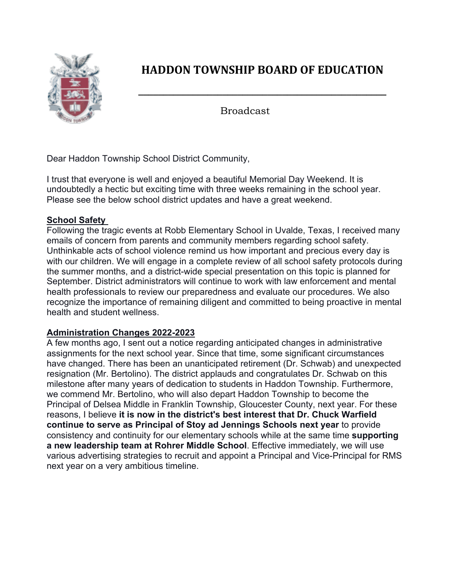

## **HADDON TOWNSHIP BOARD OF EDUCATION**

**\_\_\_\_\_\_\_\_\_\_\_\_\_\_\_\_\_\_\_\_\_\_\_\_\_\_\_\_\_\_\_\_\_\_\_\_\_\_\_\_\_\_\_\_\_\_\_\_\_\_**

Broadcast

Dear Haddon Township School District Community,

I trust that everyone is well and enjoyed a beautiful Memorial Day Weekend. It is undoubtedly a hectic but exciting time with three weeks remaining in the school year. Please see the below school district updates and have a great weekend.

## **School Safety**

Following the tragic events at Robb Elementary School in Uvalde, Texas, I received many emails of concern from parents and community members regarding school safety. Unthinkable acts of school violence remind us how important and precious every day is with our children. We will engage in a complete review of all school safety protocols during the summer months, and a district-wide special presentation on this topic is planned for September. District administrators will continue to work with law enforcement and mental health professionals to review our preparedness and evaluate our procedures. We also recognize the importance of remaining diligent and committed to being proactive in mental health and student wellness.

## **Administration Changes 2022-2023**

A few months ago, I sent out a notice regarding anticipated changes in administrative assignments for the next school year. Since that time, some significant circumstances have changed. There has been an unanticipated retirement (Dr. Schwab) and unexpected resignation (Mr. Bertolino). The district applauds and congratulates Dr. Schwab on this milestone after many years of dedication to students in Haddon Township. Furthermore, we commend Mr. Bertolino, who will also depart Haddon Township to become the Principal of Delsea Middle in Franklin Township, Gloucester County, next year. For these reasons, I believe **it is now in the district's best interest that Dr. Chuck Warfield continue to serve as Principal of Stoy ad Jennings Schools next year** to provide consistency and continuity for our elementary schools while at the same time **supporting a new leadership team at Rohrer Middle School**. Effective immediately, we will use various advertising strategies to recruit and appoint a Principal and Vice-Principal for RMS next year on a very ambitious timeline.